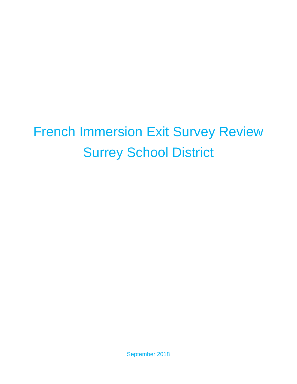# French Immersion Exit Survey Review Surrey School District

September 2018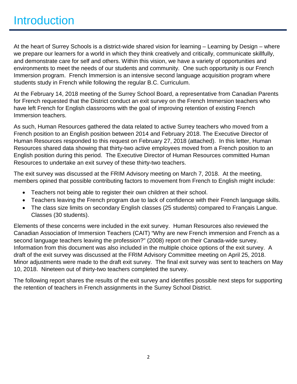At the heart of Surrey Schools is a district-wide shared vision for learning – Learning by Design – where we prepare our learners for a world in which they think creatively and critically, communicate skillfully, and demonstrate care for self and others. Within this vision, we have a variety of opportunities and environments to meet the needs of our students and community. One such opportunity is our French Immersion program. French Immersion is an intensive second language acquisition program where students study in French while following the regular B.C. Curriculum.

At the February 14, 2018 meeting of the Surrey School Board, a representative from Canadian Parents for French requested that the District conduct an exit survey on the French Immersion teachers who have left French for English classrooms with the goal of improving retention of existing French Immersion teachers.

As such, Human Resources gathered the data related to active Surrey teachers who moved from a French position to an English position between 2014 and February 2018. The Executive Director of Human Resources responded to this request on February 27, 2018 (attached). In this letter, Human Resources shared data showing that thirty-two active employees moved from a French position to an English position during this period. The Executive Director of Human Resources committed Human Resources to undertake an exit survey of these thirty-two teachers.

The exit survey was discussed at the FRIM Advisory meeting on March 7, 2018. At the meeting, members opined that possible contributing factors to movement from French to English might include:

- Teachers not being able to register their own children at their school.
- Teachers leaving the French program due to lack of confidence with their French language skills.
- The class size limits on secondary English classes (25 students) compared to Français Langue. Classes (30 students).

Elements of these concerns were included in the exit survey. Human Resources also reviewed the Canadian Association of Immersion Teachers (CAIT) "Why are new French immersion and French as a second language teachers leaving the profession?" (2008) report on their Canada-wide survey. Information from this document was also included in the multiple choice options of the exit survey. A draft of the exit survey was discussed at the FRIM Advisory Committee meeting on April 25, 2018. Minor adjustments were made to the draft exit survey. The final exit survey was sent to teachers on May 10, 2018. Nineteen out of thirty-two teachers completed the survey.

The following report shares the results of the exit survey and identifies possible next steps for supporting the retention of teachers in French assignments in the Surrey School District.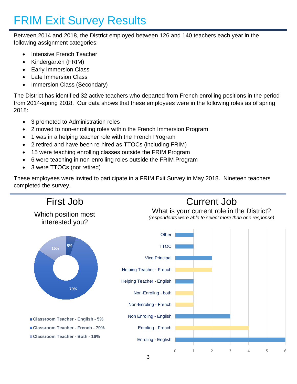### FRIM Exit Survey Results

Between 2014 and 2018, the District employed between 126 and 140 teachers each year in the following assignment categories:

- Intensive French Teacher
- Kindergarten (FRIM)
- Early Immersion Class
- Late Immersion Class
- Immersion Class (Secondary)

The District has identified 32 active teachers who departed from French enrolling positions in the period from 2014-spring 2018. Our data shows that these employees were in the following roles as of spring 2018:

- 3 promoted to Administration roles
- 2 moved to non-enrolling roles within the French Immersion Program
- 1 was in a helping teacher role with the French Program
- 2 retired and have been re-hired as TTOCs (including FRIM)
- 15 were teaching enrolling classes outside the FRIM Program
- 6 were teaching in non-enrolling roles outside the FRIM Program
- 3 were TTOCs (not retired)

These employees were invited to participate in a FRIM Exit Survey in May 2018. Nineteen teachers completed the survey.

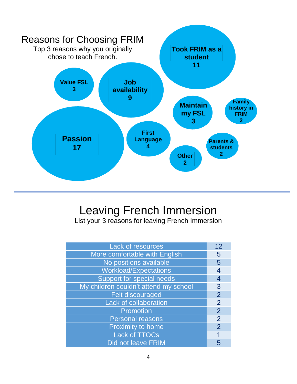

### Leaving French Immersion

List your 3 reasons for leaving French Immersion

| Lack of resources                     | 12             |
|---------------------------------------|----------------|
| More comfortable with English         | 5              |
| No positions available                | 5              |
| <b>Workload/Expectations</b>          | 4              |
| Support for special needs             | 4              |
| My children couldn't attend my school | 3              |
| <b>Felt discouraged</b>               | $\overline{2}$ |
| <b>Lack of collaboration</b>          | $\overline{2}$ |
| Promotion                             | $\overline{2}$ |
| <b>Personal reasons</b>               | $\overline{2}$ |
| <b>Proximity to home</b>              | $\overline{2}$ |
| <b>Lack of TTOCs</b>                  |                |
| <b>Did not leave FRIM</b>             | 5              |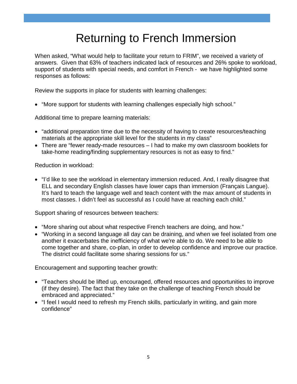### Returning to French Immersion

When asked, "What would help to facilitate your return to FRIM", we received a variety of answers. Given that 63% of teachers indicated lack of resources and 26% spoke to workload, support of students with special needs, and comfort in French - we have highlighted some responses as follows:

Review the supports in place for students with learning challenges:

• "More support for students with learning challenges especially high school."

Additional time to prepare learning materials:

- "additional preparation time due to the necessity of having to create resources/teaching materials at the appropriate skill level for the students in my class"
- There are "fewer ready-made resources I had to make my own classroom booklets for take-home reading/finding supplementary resources is not as easy to find."

Reduction in workload:

• "I'd like to see the workload in elementary immersion reduced. And, I really disagree that ELL and secondary English classes have lower caps than immersion (Français Langue). It's hard to teach the language well and teach content with the max amount of students in most classes. I didn't feel as successful as I could have at reaching each child."

Support sharing of resources between teachers:

- "More sharing out about what respective French teachers are doing, and how."
- "Working in a second language all day can be draining, and when we feel isolated from one another it exacerbates the inefficiency of what we're able to do. We need to be able to come together and share, co-plan, in order to develop confidence and improve our practice. The district could facilitate some sharing sessions for us."

Encouragement and supporting teacher growth:

- "Teachers should be lifted up, encouraged, offered resources and opportunities to improve (if they desire). The fact that they take on the challenge of teaching French should be embraced and appreciated."
- "I feel I would need to refresh my French skills, particularly in writing, and gain more confidence"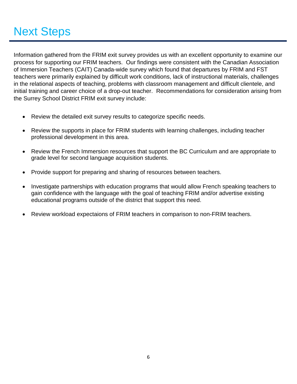## Next Steps

Information gathered from the FRIM exit survey provides us with an excellent opportunity to examine our process for supporting our FRIM teachers. Our findings were consistent with the Canadian Association of Immersion Teachers (CAIT) Canada-wide survey which found that departures by FRIM and FST teachers were primarily explained by difficult work conditions, lack of instructional materials, challenges in the relational aspects of teaching, problems with classroom management and difficult clientele, and initial training and career choice of a drop-out teacher. Recommendations for consideration arising from the Surrey School District FRIM exit survey include:

- Review the detailed exit survey results to categorize specific needs.
- Review the supports in place for FRIM students with learning challenges, including teacher professional development in this area.
- Review the French Immersion resources that support the BC Curriculum and are appropriate to grade level for second language acquisition students.
- Provide support for preparing and sharing of resources between teachers.
- Investigate partnerships with education programs that would allow French speaking teachers to gain confidence with the language with the goal of teaching FRIM and/or advertise existing educational programs outside of the district that support this need.
- Review workload expectaions of FRIM teachers in comparison to non-FRIM teachers.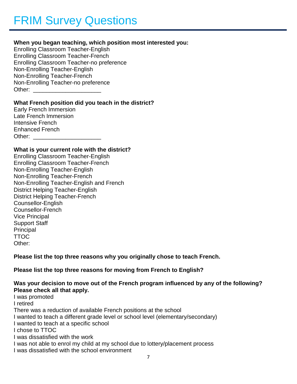#### **When you began teaching, which position most interested you:**

Enrolling Classroom Teacher-English Enrolling Classroom Teacher-French Enrolling Classroom Teacher-no preference Non-Enrolling Teacher-English Non-Enrolling Teacher-French Non-Enrolling Teacher-no preference Other: \_\_\_\_\_\_\_\_\_\_\_\_\_\_\_\_\_\_\_\_\_

#### **What French position did you teach in the district?**

Early French Immersion Late French Immersion Intensive French Enhanced French Other: \_\_\_\_\_\_\_\_\_\_\_\_\_\_\_\_\_\_\_\_\_

#### **What is your current role with the district?**

Enrolling Classroom Teacher-English Enrolling Classroom Teacher-French Non-Enrolling Teacher-English Non-Enrolling Teacher-French Non-Enrolling Teacher-English and French District Helping Teacher-English District Helping Teacher-French Counsellor-English Counsellor-French Vice Principal Support Staff **Principal** TTOC Other:

**Please list the top three reasons why you originally chose to teach French.**

**Please list the top three reasons for moving from French to English?**

#### **Was your decision to move out of the French program influenced by any of the following? Please check all that apply.**

I was promoted I retired There was a reduction of available French positions at the school I wanted to teach a different grade level or school level (elementary/secondary) I wanted to teach at a specific school I chose to TTOC I was dissatisfied with the work I was not able to enrol my child at my school due to lottery/placement process

I was dissatisfied with the school environment